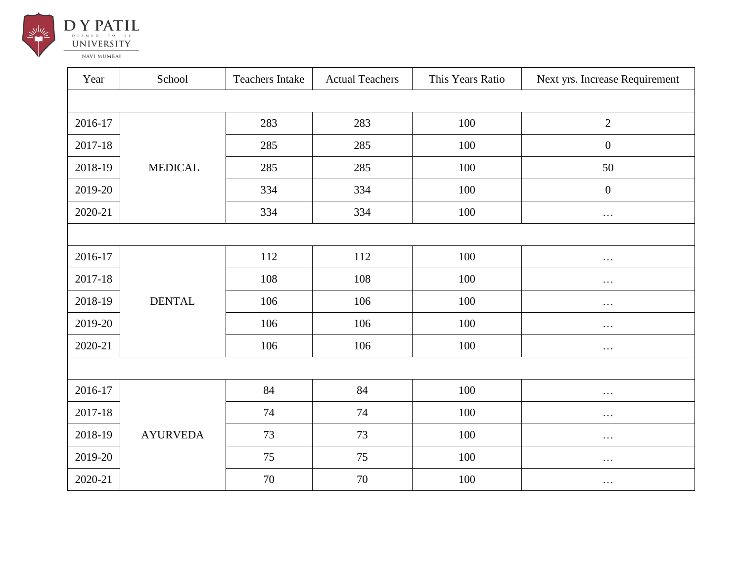

|  |  |            |  | 1 1 A 1 1 L |  |
|--|--|------------|--|-------------|--|
|  |  | EMED TO BE |  |             |  |
|  |  | NIVERSITY  |  |             |  |

**NAVI MUMBAI** 

| Year    | School          | <b>Teachers Intake</b> | <b>Actual Teachers</b> | This Years Ratio | Next yrs. Increase Requirement |  |  |  |
|---------|-----------------|------------------------|------------------------|------------------|--------------------------------|--|--|--|
|         |                 |                        |                        |                  |                                |  |  |  |
| 2016-17 |                 | 283                    | 283                    | 100              | $\overline{2}$                 |  |  |  |
| 2017-18 |                 | 285                    | 285                    | 100              | $\overline{0}$                 |  |  |  |
| 2018-19 | <b>MEDICAL</b>  | 285                    | 285                    | 100              | 50                             |  |  |  |
| 2019-20 |                 | 334                    | 334                    | 100              | $\overline{0}$                 |  |  |  |
| 2020-21 |                 | 334                    | 334                    | 100              | $\cdots$                       |  |  |  |
|         |                 |                        |                        |                  |                                |  |  |  |
| 2016-17 |                 | 112                    | 112                    | 100              | $\cdots$                       |  |  |  |
| 2017-18 | <b>DENTAL</b>   | 108                    | 108                    | 100              | $\cdots$                       |  |  |  |
| 2018-19 |                 | 106                    | 106                    | 100              | $\cdots$                       |  |  |  |
| 2019-20 |                 | 106                    | 106                    | 100              | $\cdots$                       |  |  |  |
| 2020-21 |                 | 106                    | 106                    | 100              | $\ldots$                       |  |  |  |
|         |                 |                        |                        |                  |                                |  |  |  |
| 2016-17 |                 | 84                     | 84                     | 100              | $\cdots$                       |  |  |  |
| 2017-18 |                 | 74                     | 74                     | 100              | $\cdots$                       |  |  |  |
| 2018-19 | <b>AYURVEDA</b> | 73                     | 73                     | 100              | $\cdots$                       |  |  |  |
| 2019-20 |                 | $75\,$                 | 75                     | 100              | $\cdots$                       |  |  |  |
| 2020-21 |                 | 70                     | 70                     | 100              | $\cdots$                       |  |  |  |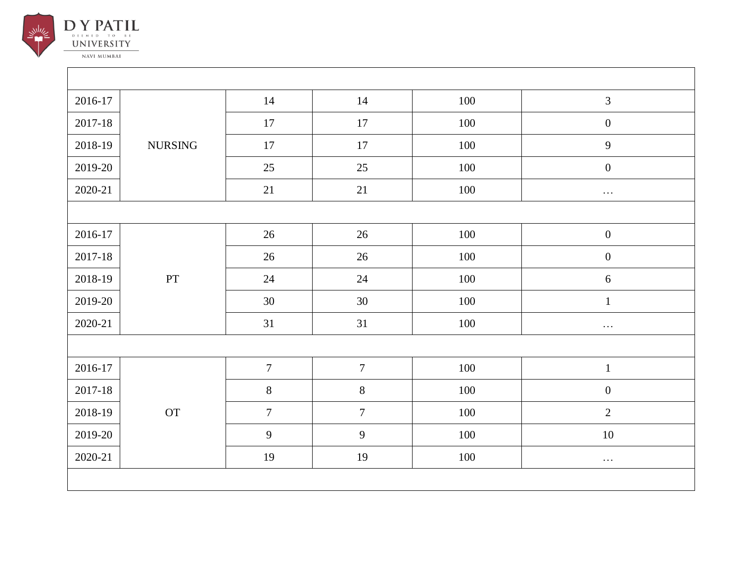

| 2016-17     |                | 14               | 14               | 100 | $\mathfrak{Z}$   |  |  |  |
|-------------|----------------|------------------|------------------|-----|------------------|--|--|--|
| $2017 - 18$ |                | 17               | 17               | 100 | $\boldsymbol{0}$ |  |  |  |
| 2018-19     | <b>NURSING</b> | 17               | 17               | 100 | 9                |  |  |  |
| 2019-20     |                | $25\,$           | 25               | 100 | $\boldsymbol{0}$ |  |  |  |
| 2020-21     |                | 21               | 21               | 100 | $\ldots$         |  |  |  |
|             |                |                  |                  |     |                  |  |  |  |
| 2016-17     |                | 26               | 26               | 100 | $\boldsymbol{0}$ |  |  |  |
| $2017 - 18$ |                | $26\,$           | 26               | 100 | $\boldsymbol{0}$ |  |  |  |
| 2018-19     | $\mathbf{PT}$  | $24\,$           | $24\,$           | 100 | $\sqrt{6}$       |  |  |  |
| 2019-20     |                | $30\,$           | 30               | 100 | $\mathbf 1$      |  |  |  |
| 2020-21     |                | 31               | 31               | 100 | $\ldots$         |  |  |  |
|             |                |                  |                  |     |                  |  |  |  |
| 2016-17     |                | $\boldsymbol{7}$ | $\boldsymbol{7}$ | 100 | $\mathbf{1}$     |  |  |  |
| 2017-18     |                | $8\,$            | $\,8\,$          | 100 | $\boldsymbol{0}$ |  |  |  |
| 2018-19     | OT             | $\boldsymbol{7}$ | $\tau$           | 100 | $\sqrt{2}$       |  |  |  |
| 2019-20     |                | 9                | 9                | 100 | $10\,$           |  |  |  |
| 2020-21     |                | 19               | 19               | 100 | $\ldots$         |  |  |  |
|             |                |                  |                  |     |                  |  |  |  |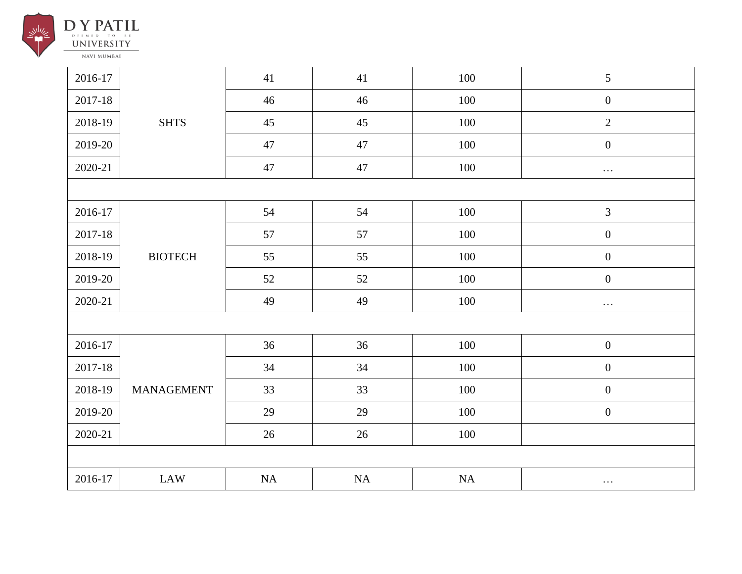

| 2016-17 |                   | 41     | 41 | 100     | $\mathfrak{S}$   |  |  |  |
|---------|-------------------|--------|----|---------|------------------|--|--|--|
| 2017-18 |                   | 46     | 46 | $100\,$ | $\boldsymbol{0}$ |  |  |  |
| 2018-19 | <b>SHTS</b>       | 45     | 45 | 100     | $\overline{2}$   |  |  |  |
| 2019-20 |                   | 47     | 47 | 100     | $\boldsymbol{0}$ |  |  |  |
| 2020-21 |                   | $47\,$ | 47 | 100     | $\ldots$         |  |  |  |
|         |                   |        |    |         |                  |  |  |  |
| 2016-17 |                   | 54     | 54 | 100     | $\mathfrak{Z}$   |  |  |  |
| 2017-18 |                   | 57     | 57 | 100     | $\boldsymbol{0}$ |  |  |  |
| 2018-19 | <b>BIOTECH</b>    | 55     | 55 | 100     | $\boldsymbol{0}$ |  |  |  |
| 2019-20 |                   | 52     | 52 | 100     | $\boldsymbol{0}$ |  |  |  |
| 2020-21 |                   | 49     | 49 | 100     | $\ldots$         |  |  |  |
|         |                   |        |    |         |                  |  |  |  |
| 2016-17 |                   | 36     | 36 | 100     | $\boldsymbol{0}$ |  |  |  |
| 2017-18 | <b>MANAGEMENT</b> | 34     | 34 | 100     | $\boldsymbol{0}$ |  |  |  |
| 2018-19 |                   | 33     | 33 | 100     | $\boldsymbol{0}$ |  |  |  |
| 2019-20 |                   | 29     | 29 | 100     | $\boldsymbol{0}$ |  |  |  |
| 2020-21 |                   | $26\,$ | 26 | $100\,$ |                  |  |  |  |
|         |                   |        |    |         |                  |  |  |  |
| 2016-17 | LAW               | NA     | NA | NA      | $\cdots$         |  |  |  |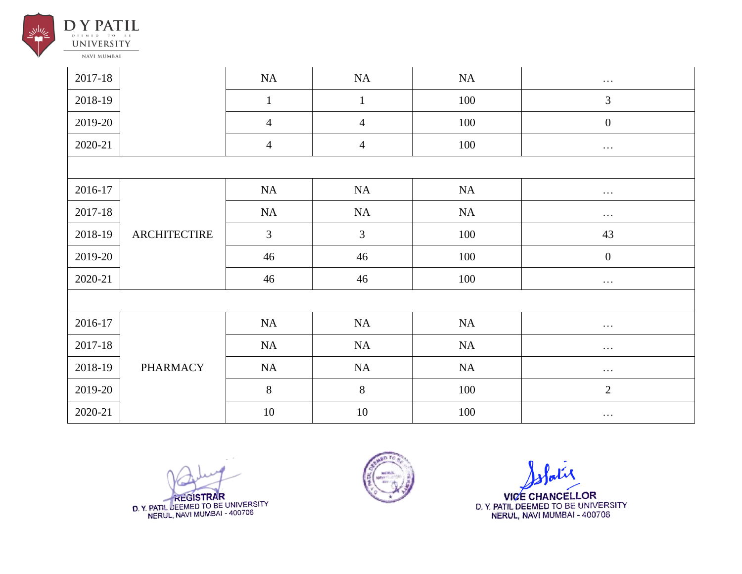

| 2017-18 |                     | NA             | NA             | NA  | $\ldots$         |  |  |  |
|---------|---------------------|----------------|----------------|-----|------------------|--|--|--|
| 2018-19 |                     | $\mathbf{1}$   | $\mathbf{1}$   | 100 | 3                |  |  |  |
| 2019-20 |                     | $\overline{4}$ | $\overline{4}$ | 100 | $\boldsymbol{0}$ |  |  |  |
| 2020-21 |                     | $\overline{4}$ | $\overline{4}$ | 100 | $\cdots$         |  |  |  |
|         |                     |                |                |     |                  |  |  |  |
| 2016-17 |                     | NA             | NA             | NA  | $\cdots$         |  |  |  |
| 2017-18 | <b>ARCHITECTIRE</b> | NA             | NA             | NA  | $\cdots$         |  |  |  |
| 2018-19 |                     | 3              | $\overline{3}$ | 100 | 43               |  |  |  |
| 2019-20 |                     | 46             | 46             | 100 | $\boldsymbol{0}$ |  |  |  |
| 2020-21 |                     | 46             | 46             | 100 | $\ldots$         |  |  |  |
|         |                     |                |                |     |                  |  |  |  |
| 2016-17 |                     | NA             | NA             | NA  | $\cdots$         |  |  |  |
| 2017-18 | <b>PHARMACY</b>     | NA             | NA             | NA  | $\cdots$         |  |  |  |
| 2018-19 |                     | NA             | NA             | NA  | $\ldots$         |  |  |  |
| 2019-20 |                     | $8\phantom{.}$ | 8              | 100 | $\overline{2}$   |  |  |  |
| 2020-21 |                     | 10             | 10             | 100 | $\cdots$         |  |  |  |

**REGISTRAR** D. Y. PATIL DEEMED TO BE UNIVERSITY<br>NERUL, NAVI MUMBAI - 400706



**VICE CHANCELLOR** D. Y. PATIL DEEMED TO BE UNIVERSITY<br>NERUL, NAVI MUMBAI - 400706